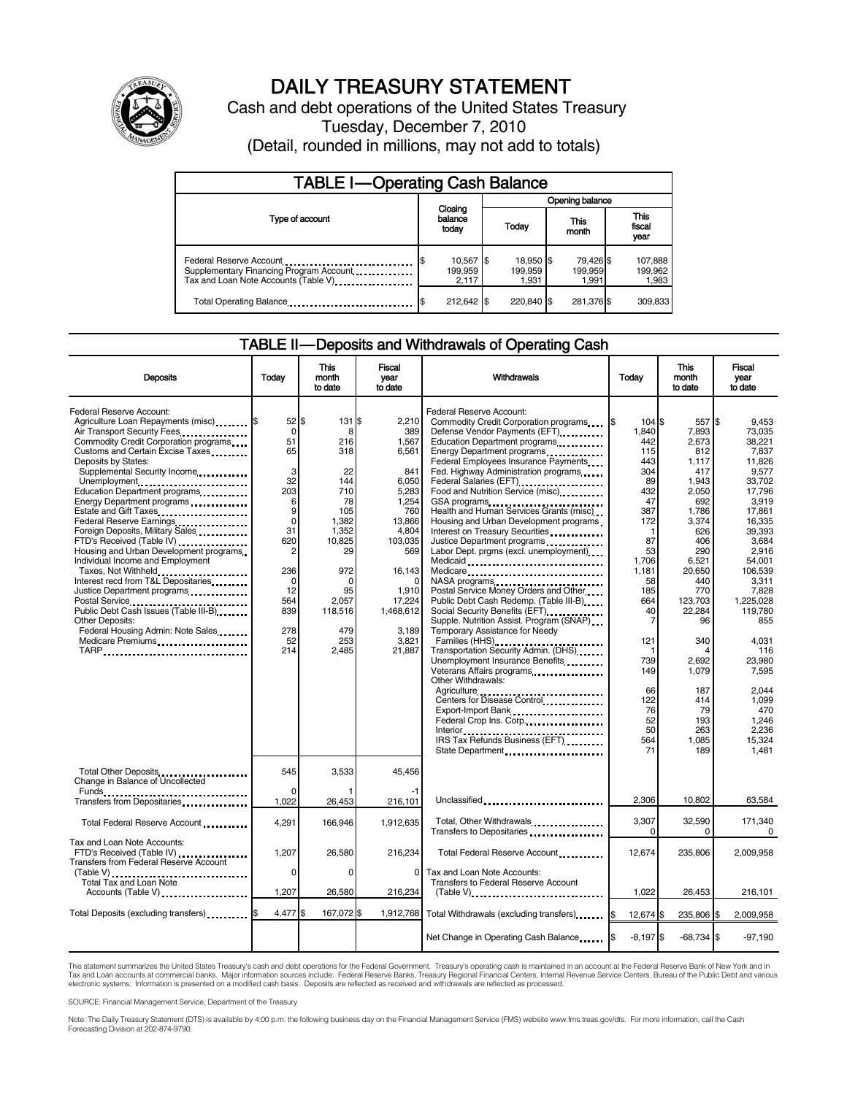

# DAILY TREASURY STATEMENT

Cash and debt operations of the United States Treasury Tuesday, December 7, 2010 (Detail, rounded in millions, may not add to totals)

| <b>TABLE I-Operating Cash Balance</b>                                                                      |                               |                               |                               |                             |  |  |
|------------------------------------------------------------------------------------------------------------|-------------------------------|-------------------------------|-------------------------------|-----------------------------|--|--|
|                                                                                                            |                               |                               | Opening balance               |                             |  |  |
| Type of account                                                                                            | Closing<br>balance<br>today   | Today                         | This<br>month                 | This<br>fiscal<br>year      |  |  |
| Federal Reserve Account<br>Supplementary Financing Program Account<br>Tax and Loan Note Accounts (Table V) | 10,567 \$<br>199,959<br>2.117 | 18,950 \$<br>199.959<br>1,931 | 79,426 \$<br>199,959<br>1.991 | 107,888<br>199,962<br>1,983 |  |  |
| Total Operating Balance                                                                                    | 212,642 \$                    | 220.840 \$                    | 281,376 \$                    | 309,833                     |  |  |

#### TABLE II — Deposits and Withdrawals of Operating Cash

| <b>Deposits</b>                                                                                                                                                                                                                                                                                                                                                                                                                                                                                                                                                                                                                                                                                                                                                         | Todav                                                                                                                                           | This<br>month<br>to date                                                                                                                                         | Fiscal<br>year<br>to date                                                                                                                                                          | Withdrawals                                                                                                                                                                                                                                                                                                                                                                                                                                                                                                                                                                                                                                                                                                                                                                                                                                                                                                                                                                                                                                                            | Todav                                                                                                                                                                                                                            | <b>This</b><br>month<br>to date                                                                                                                                                                                                                 | Fiscal<br>vear<br>to date                                                                                                                                                                                                                                                                        |
|-------------------------------------------------------------------------------------------------------------------------------------------------------------------------------------------------------------------------------------------------------------------------------------------------------------------------------------------------------------------------------------------------------------------------------------------------------------------------------------------------------------------------------------------------------------------------------------------------------------------------------------------------------------------------------------------------------------------------------------------------------------------------|-------------------------------------------------------------------------------------------------------------------------------------------------|------------------------------------------------------------------------------------------------------------------------------------------------------------------|------------------------------------------------------------------------------------------------------------------------------------------------------------------------------------|------------------------------------------------------------------------------------------------------------------------------------------------------------------------------------------------------------------------------------------------------------------------------------------------------------------------------------------------------------------------------------------------------------------------------------------------------------------------------------------------------------------------------------------------------------------------------------------------------------------------------------------------------------------------------------------------------------------------------------------------------------------------------------------------------------------------------------------------------------------------------------------------------------------------------------------------------------------------------------------------------------------------------------------------------------------------|----------------------------------------------------------------------------------------------------------------------------------------------------------------------------------------------------------------------------------|-------------------------------------------------------------------------------------------------------------------------------------------------------------------------------------------------------------------------------------------------|--------------------------------------------------------------------------------------------------------------------------------------------------------------------------------------------------------------------------------------------------------------------------------------------------|
| Federal Reserve Account:<br>Agriculture Loan Repayments (misc) [\$<br>Air Transport Security Fees<br>Commodity Credit Corporation programs<br>Customs and Certain Excise Taxes<br>Deposits by States:<br>Supplemental Security Income<br>Unemployment<br>Education Department programs<br>Energy Department programs<br>Federal Reserve Earnings<br>Foreign Deposits, Military Sales<br>FTD's Received (Table IV) <b>[19] FTD's Received</b> (Table IV)<br>Housing and Urban Development programs<br>Individual Income and Employment<br>Taxes, Not Withheld<br>Interest recd from T&L Depositaries<br>Justice Department programs<br>Public Debt Cash Issues (Table III-B)<br><b>Other Deposits:</b><br>Federal Housing Admin: Note Sales<br>Medicare Premiums<br>TARP | $52$ S<br>0<br>51<br>65<br>3<br>32<br>203<br>6<br>9<br>$\mathbf 0$<br>31<br>620<br>2<br>236<br>$\Omega$<br>12<br>564<br>839<br>278<br>52<br>214 | 131 \$<br>8<br>216<br>318<br>22<br>144<br>710<br>78<br>105<br>1,382<br>1,352<br>10,825<br>29<br>972<br>$\Omega$<br>95<br>2.057<br>118,516<br>479<br>253<br>2,485 | 2.210<br>389<br>1,567<br>6,561<br>841<br>6,050<br>5,283<br>1,254<br>760<br>13,866<br>4,804<br>103,035<br>569<br>16,143<br>1,910<br>17,224<br>1,468,612<br>3,189<br>3,821<br>21,887 | Federal Reserve Account:<br>Commodity Credit Corporation programs<br>Defense Vendor Payments (EFT)<br>Education Department programs<br>Energy Department programs<br>Federal Employees Insurance Payments<br>Fed. Highway Administration programs<br>Federal Salaries (EFT)<br>Federal Salaries (EFT)<br>Food and Nutrition Service (misc)<br>GSA programs<br>Health and Human Services Grants (misc)<br>Housing and Urban Development programs<br>Interest on Treasury Securities<br>Justice Department programs<br>Labor Dept. prgms (excl. unemployment)<br>Medicaid<br>Medicare<br>NASA programs<br>Postal Service Money Orders and Other<br>Public Debt Cash Redemp. (Table III-B)<br>Social Security Benefits (EFT)<br>Supple. Nutrition Assist. Program (SNAP)<br>Temporary Assistance for Needy<br>Transportation Security Admin. (DHS)<br>Unemployment Insurance Benefits<br>Veterans Affairs programs<br>Other Withdrawals:<br>Agriculture<br>Centers for Disease Control<br>Export-Import Bank<br>Federal Crop Ins. Corp.<br>IRS Tax Refunds Business (EFT) | I\$<br>104 \$<br>1,840<br>442<br>115<br>443<br>304<br>89<br>432<br>47<br>387<br>172<br>$\mathbf{1}$<br>87<br>53<br>1,706<br>1,181<br>58<br>185<br>664<br>40<br>7<br>121<br>1<br>739<br>149<br>66<br>122<br>76<br>52<br>50<br>564 | 557 \$<br>7,893<br>2,673<br>812<br>1.117<br>417<br>1,943<br>2,050<br>692<br>1,786<br>3.374<br>626<br>406<br>290<br>6,521<br>20,650<br>440<br>770<br>123,703<br>22,284<br>96<br>340<br>2,692<br>1,079<br>187<br>414<br>79<br>193<br>263<br>1.085 | 9.453<br>73,035<br>38.221<br>7.837<br>11.826<br>9,577<br>33.702<br>17,796<br>3,919<br>17,861<br>16.335<br>39,393<br>3,684<br>2.916<br>54,001<br>106,539<br>3,311<br>7,828<br>1.225.028<br>119.780<br>855<br>4.031<br>116<br>23,980<br>7,595<br>2.044<br>1.099<br>470<br>1.246<br>2.236<br>15.324 |
| Total Other Deposits<br>Change in Balance of Uncollected                                                                                                                                                                                                                                                                                                                                                                                                                                                                                                                                                                                                                                                                                                                | 545                                                                                                                                             | 3,533                                                                                                                                                            | 45,456                                                                                                                                                                             | State Department                                                                                                                                                                                                                                                                                                                                                                                                                                                                                                                                                                                                                                                                                                                                                                                                                                                                                                                                                                                                                                                       | 71                                                                                                                                                                                                                               | 189                                                                                                                                                                                                                                             | 1.481                                                                                                                                                                                                                                                                                            |
| $Funds$<br>Transfers from Depositaries                                                                                                                                                                                                                                                                                                                                                                                                                                                                                                                                                                                                                                                                                                                                  | $\Omega$<br>1,022                                                                                                                               | 26,453                                                                                                                                                           | 216,101                                                                                                                                                                            | Unclassified                                                                                                                                                                                                                                                                                                                                                                                                                                                                                                                                                                                                                                                                                                                                                                                                                                                                                                                                                                                                                                                           | 2,306                                                                                                                                                                                                                            | 10,802                                                                                                                                                                                                                                          | 63,584                                                                                                                                                                                                                                                                                           |
| Total Federal Reserve Account                                                                                                                                                                                                                                                                                                                                                                                                                                                                                                                                                                                                                                                                                                                                           | 4,291                                                                                                                                           | 166.946                                                                                                                                                          | 1,912,635                                                                                                                                                                          | Total, Other Withdrawals<br>Transfers to Depositaries                                                                                                                                                                                                                                                                                                                                                                                                                                                                                                                                                                                                                                                                                                                                                                                                                                                                                                                                                                                                                  | 3,307<br>$\Omega$                                                                                                                                                                                                                | 32,590<br>0                                                                                                                                                                                                                                     | 171,340<br>0                                                                                                                                                                                                                                                                                     |
| Tax and Loan Note Accounts:<br>FTD's Received (Table IV)<br><b>Transfers from Federal Reserve Account</b>                                                                                                                                                                                                                                                                                                                                                                                                                                                                                                                                                                                                                                                               | 1,207<br>0                                                                                                                                      | 26.580<br>0                                                                                                                                                      | 216,234<br>0                                                                                                                                                                       | Total Federal Reserve Account<br>Tax and Loan Note Accounts:                                                                                                                                                                                                                                                                                                                                                                                                                                                                                                                                                                                                                                                                                                                                                                                                                                                                                                                                                                                                           | 12.674                                                                                                                                                                                                                           | 235.806                                                                                                                                                                                                                                         | 2.009.958                                                                                                                                                                                                                                                                                        |
| <b>Total Tax and Loan Note</b><br>Accounts (Table V)                                                                                                                                                                                                                                                                                                                                                                                                                                                                                                                                                                                                                                                                                                                    | 1,207                                                                                                                                           | 26,580                                                                                                                                                           | 216,234                                                                                                                                                                            | <b>Transfers to Federal Reserve Account</b><br>$(Table V)$                                                                                                                                                                                                                                                                                                                                                                                                                                                                                                                                                                                                                                                                                                                                                                                                                                                                                                                                                                                                             | 1.022                                                                                                                                                                                                                            | 26.453                                                                                                                                                                                                                                          | 216,101                                                                                                                                                                                                                                                                                          |
| Total Deposits (excluding transfers)                                                                                                                                                                                                                                                                                                                                                                                                                                                                                                                                                                                                                                                                                                                                    | 4,477 \$                                                                                                                                        | 167,072 \$                                                                                                                                                       | 1,912,768                                                                                                                                                                          | Total Withdrawals (excluding transfers)                                                                                                                                                                                                                                                                                                                                                                                                                                                                                                                                                                                                                                                                                                                                                                                                                                                                                                                                                                                                                                | Ι\$<br>12,674 \$                                                                                                                                                                                                                 | 235,806 \$                                                                                                                                                                                                                                      | 2,009,958                                                                                                                                                                                                                                                                                        |
|                                                                                                                                                                                                                                                                                                                                                                                                                                                                                                                                                                                                                                                                                                                                                                         |                                                                                                                                                 |                                                                                                                                                                  |                                                                                                                                                                                    | Net Change in Operating Cash Balance                                                                                                                                                                                                                                                                                                                                                                                                                                                                                                                                                                                                                                                                                                                                                                                                                                                                                                                                                                                                                                   | $-8,197$ \$                                                                                                                                                                                                                      | $-68,734$ \$                                                                                                                                                                                                                                    | $-97,190$                                                                                                                                                                                                                                                                                        |

This statement summarizes the United States Treasury's cash and debt operations for the Federal Government. Treasury's operating cash is maintained in an account at the Federal Reserve Bank of New York and in<br>Tax and Loan electronic systems. Information is presented on a modified cash basis. Deposits are reflected as received and withdrawals are reflected as processed.

SOURCE: Financial Management Service, Department of the Treasury

Note: The Daily Treasury Statement (DTS) is available by 4:00 p.m. the following business day on the Financial Management Service (FMS) website www.fms.treas.gov/dts. For more information, call the Cash Forecasting Division at 202-874-9790.